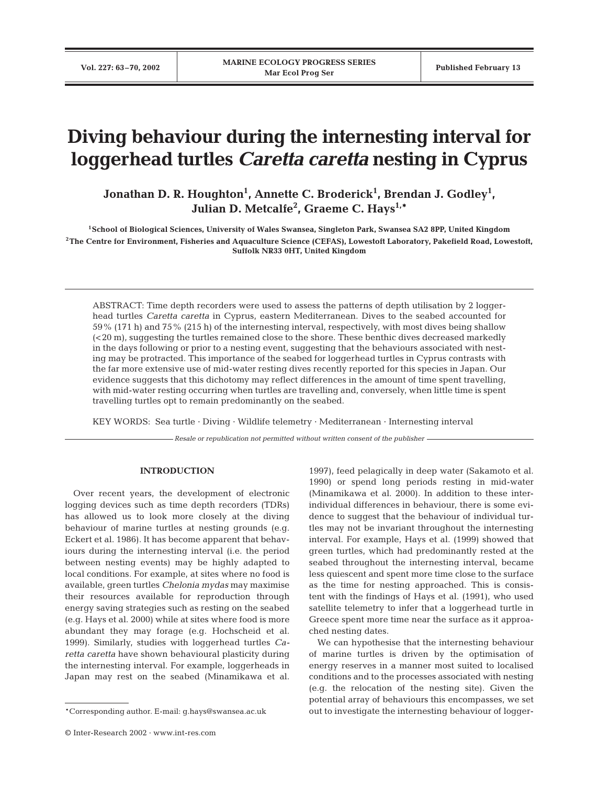# **Diving behaviour during the internesting interval for loggerhead turtles** *Caretta caretta* **nesting in Cyprus**

Jonathan D. R. Houghton<sup>1</sup>, Annette C. Broderick<sup>1</sup>, Brendan J. Godley<sup>1</sup>, **Julian D. Metcalfe2 , Graeme C. Hays1,\***

**1School of Biological Sciences, University of Wales Swansea, Singleton Park, Swansea SA2 8PP, United Kingdom 2The Centre for Environment, Fisheries and Aquaculture Science (CEFAS), Lowestoft Laboratory, Pakefield Road, Lowestoft, Suffolk NR33 0HT, United Kingdom**

ABSTRACT: Time depth recorders were used to assess the patterns of depth utilisation by 2 loggerhead turtles *Caretta caretta* in Cyprus, eastern Mediterranean. Dives to the seabed accounted for 59% (171 h) and 75% (215 h) of the internesting interval, respectively, with most dives being shallow (<20 m), suggesting the turtles remained close to the shore. These benthic dives decreased markedly in the days following or prior to a nesting event, suggesting that the behaviours associated with nesting may be protracted. This importance of the seabed for loggerhead turtles in Cyprus contrasts with the far more extensive use of mid-water resting dives recently reported for this species in Japan. Our evidence suggests that this dichotomy may reflect differences in the amount of time spent travelling, with mid-water resting occurring when turtles are travelling and, conversely, when little time is spent travelling turtles opt to remain predominantly on the seabed.

KEY WORDS: Sea turtle · Diving · Wildlife telemetry · Mediterranean · Internesting interval

*Resale or republication not permitted without written consent of the publisher*

## **INTRODUCTION**

Over recent years, the development of electronic logging devices such as time depth recorders (TDRs) has allowed us to look more closely at the diving behaviour of marine turtles at nesting grounds (e.g. Eckert et al. 1986). It has become apparent that behaviours during the internesting interval (i.e. the period between nesting events) may be highly adapted to local conditions. For example, at sites where no food is available, green turtles *Chelonia mydas* may maximise their resources available for reproduction through energy saving strategies such as resting on the seabed (e.g. Hays et al. 2000) while at sites where food is more abundant they may forage (e.g. Hochscheid et al. 1999). Similarly, studies with loggerhead turtles *Caretta caretta* have shown behavioural plasticity during the internesting interval. For example, loggerheads in Japan may rest on the seabed (Minamikawa et al.

1997), feed pelagically in deep water (Sakamoto et al. 1990) or spend long periods resting in mid-water (Minamikawa et al. 2000). In addition to these interindividual differences in behaviour, there is some evidence to suggest that the behaviour of individual turtles may not be invariant throughout the internesting interval. For example, Hays et al. (1999) showed that green turtles, which had predominantly rested at the seabed throughout the internesting interval, became less quiescent and spent more time close to the surface as the time for nesting approached. This is consistent with the findings of Hays et al. (1991), who used satellite telemetry to infer that a loggerhead turtle in Greece spent more time near the surface as it approached nesting dates.

We can hypothesise that the internesting behaviour of marine turtles is driven by the optimisation of energy reserves in a manner most suited to localised conditions and to the processes associated with nesting (e.g. the relocation of the nesting site). Given the potential array of behaviours this encompasses, we set out to investigate the internesting behaviour of logger-

<sup>\*</sup>Corresponding author. E-mail: g.hays@swansea.ac.uk

<sup>©</sup> Inter-Research 2002 · www.int-res.com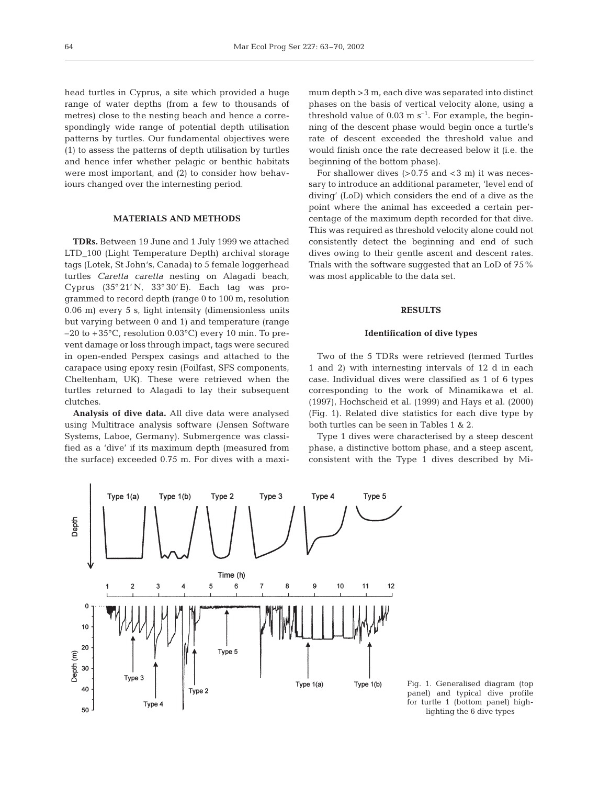head turtles in Cyprus, a site which provided a huge range of water depths (from a few to thousands of metres) close to the nesting beach and hence a correspondingly wide range of potential depth utilisation patterns by turtles. Our fundamental objectives were (1) to assess the patterns of depth utilisation by turtles and hence infer whether pelagic or benthic habitats were most important, and (2) to consider how behaviours changed over the internesting period.

## **MATERIALS AND METHODS**

**TDRs.** Between 19 June and 1 July 1999 we attached LTD 100 (Light Temperature Depth) archival storage tags (Lotek, St John's, Canada) to 5 female loggerhead turtles *Caretta caretta* nesting on Alagadi beach, Cyprus (35° 21' N, 33° 30' E). Each tag was programmed to record depth (range 0 to 100 m, resolution 0.06 m) every 5 s, light intensity (dimensionless units but varying between 0 and 1) and temperature (range  $-20$  to  $+35^{\circ}$ C, resolution 0.03 $^{\circ}$ C) every 10 min. To prevent damage or loss through impact, tags were secured in open-ended Perspex casings and attached to the carapace using epoxy resin (Foilfast, SFS components, Cheltenham, UK). These were retrieved when the turtles returned to Alagadi to lay their subsequent clutches.

**Analysis of dive data.** All dive data were analysed using Multitrace analysis software (Jensen Software Systems, Laboe, Germany). Submergence was classified as a 'dive' if its maximum depth (measured from the surface) exceeded 0.75 m. For dives with a maxi-

mum depth >3 m, each dive was separated into distinct phases on the basis of vertical velocity alone, using a threshold value of  $0.03 \text{ m s}^{-1}$ . For example, the beginning of the descent phase would begin once a turtle's rate of descent exceeded the threshold value and would finish once the rate decreased below it (i.e. the beginning of the bottom phase).

For shallower dives  $(>0.75$  and  $<$ 3 m) it was necessary to introduce an additional parameter, 'level end of diving' (LoD) which considers the end of a dive as the point where the animal has exceeded a certain percentage of the maximum depth recorded for that dive. This was required as threshold velocity alone could not consistently detect the beginning and end of such dives owing to their gentle ascent and descent rates. Trials with the software suggested that an LoD of 75% was most applicable to the data set.

# **RESULTS**

### **Identification of dive types**

Two of the 5 TDRs were retrieved (termed Turtles 1 and 2) with internesting intervals of 12 d in each case. Individual dives were classified as 1 of 6 types corresponding to the work of Minamikawa et al. (1997), Hochscheid et al. (1999) and Hays et al. (2000) (Fig. 1). Related dive statistics for each dive type by both turtles can be seen in Tables 1 & 2.

Type 1 dives were characterised by a steep descent phase, a distinctive bottom phase, and a steep ascent, consistent with the Type 1 dives described by Mi-



Fig. 1. Generalised diagram (top panel) and typical dive profile for turtle 1 (bottom panel) highlighting the 6 dive types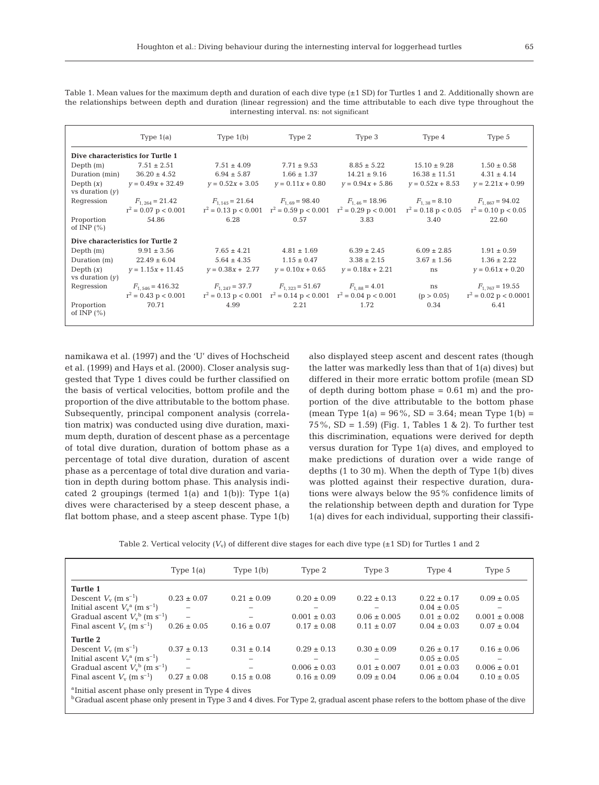Table 1. Mean values for the maximum depth and duration of each dive type  $(\pm 1 \text{ SD})$  for Turtles 1 and 2. Additionally shown are the relationships between depth and duration (linear regression) and the time attributable to each dive type throughout the internesting interval. ns: not significant

|                                   | Type $1(a)$            | Type $1(b)$         | Type 2                                                               | Type 3                                                                                                                     | Type 4             | Type 5                        |  |  |  |  |
|-----------------------------------|------------------------|---------------------|----------------------------------------------------------------------|----------------------------------------------------------------------------------------------------------------------------|--------------------|-------------------------------|--|--|--|--|
| Dive characteristics for Turtle 1 |                        |                     |                                                                      |                                                                                                                            |                    |                               |  |  |  |  |
| Depth $(m)$                       | $7.51 \pm 2.51$        | $7.51 \pm 4.09$     | $7.71 \pm 9.53$                                                      | $8.85 \pm 5.22$                                                                                                            | $15.10 \pm 9.28$   | $1.50 \pm 0.58$               |  |  |  |  |
| Duration (min)                    | $36.20 \pm 4.52$       | $6.94 \pm 5.87$     | $1.66 \pm 1.37$                                                      | $14.21 \pm 9.16$                                                                                                           | $16.38 \pm 11.51$  | $4.31 \pm 4.14$               |  |  |  |  |
| Depth $(x)$<br>vs duration $(y)$  | $v = 0.49x + 32.49$    | $v = 0.52x + 3.05$  | $v = 0.11x + 0.80$                                                   | $y = 0.94x + 5.86$                                                                                                         | $v = 0.52x + 8.53$ | $v = 2.21x + 0.99$            |  |  |  |  |
| Regression                        | $F_{1,264} = 21.42$    | $F_{1,145} = 21.64$ | $F_{1.69} = 98.40$                                                   | $F_{1,46} = 18.96$                                                                                                         | $F_{1,38} = 8.10$  | $F_{1.867} = 94.02$           |  |  |  |  |
|                                   | $r^2 = 0.07$ p < 0.001 |                     |                                                                      | $r^2 = 0.13 \text{ p} < 0.001$ $r^2 = 0.59 \text{ p} < 0.001$ $r^2 = 0.29 \text{ p} < 0.001$ $r^2 = 0.18 \text{ p} < 0.05$ |                    | $r^2 = 0.10 \text{ p} < 0.05$ |  |  |  |  |
| Proportion<br>of INP $(\% )$      | 54.86                  | 6.28                | 0.57                                                                 | 3.83                                                                                                                       | 3.40               | 22.60                         |  |  |  |  |
| Dive characteristics for Turtle 2 |                        |                     |                                                                      |                                                                                                                            |                    |                               |  |  |  |  |
| Depth $(m)$                       | $9.91 \pm 3.56$        | $7.65 \pm 4.21$     | $4.81 \pm 1.69$                                                      | $6.39 \pm 2.45$                                                                                                            | $6.09 \pm 2.85$    | $1.91 \pm 0.59$               |  |  |  |  |
| Duration (m)                      | $22.49 \pm 6.04$       | $5.64 \pm 4.35$     | $1.15 \pm 0.47$                                                      | $3.38 \pm 2.15$                                                                                                            | $3.67 \pm 1.56$    | $1.36 \pm 2.22$               |  |  |  |  |
| Depth $(x)$<br>vs duration $(y)$  | $v = 1.15x + 11.45$    | $v = 0.38x + 2.77$  | $v = 0.10x + 0.65$                                                   | $y = 0.18x + 2.21$                                                                                                         | ns                 | $y = 0.61x + 0.20$            |  |  |  |  |
| Regression                        | $F_{1,546} = 416.32$   | $F_{1,247} = 37.7$  | $F_{1,323} = 51.67$                                                  | $F_{1.88} = 4.01$                                                                                                          | ns                 | $F_{1,767} = 19.55$           |  |  |  |  |
|                                   | $r^2 = 0.43$ p < 0.001 |                     | $r^2 = 0.13$ p < 0.001 $r^2 = 0.14$ p < 0.001 $r^2 = 0.04$ p < 0.001 |                                                                                                                            | (p > 0.05)         | $r^2 = 0.02$ p < 0.0001       |  |  |  |  |
| Proportion<br>of INP $(\% )$      | 70.71                  | 4.99                | 2.21                                                                 | 1.72                                                                                                                       | 0.34               | 6.41                          |  |  |  |  |

namikawa et al. (1997) and the 'U' dives of Hochscheid et al. (1999) and Hays et al. (2000). Closer analysis suggested that Type 1 dives could be further classified on the basis of vertical velocities, bottom profile and the proportion of the dive attributable to the bottom phase. Subsequently, principal component analysis (correlation matrix) was conducted using dive duration, maximum depth, duration of descent phase as a percentage of total dive duration, duration of bottom phase as a percentage of total dive duration, duration of ascent phase as a percentage of total dive duration and variation in depth during bottom phase. This analysis indicated 2 groupings (termed  $1(a)$  and  $1(b)$ ): Type  $1(a)$ dives were characterised by a steep descent phase, a flat bottom phase, and a steep ascent phase. Type 1(b) also displayed steep ascent and descent rates (though the latter was markedly less than that of 1(a) dives) but differed in their more erratic bottom profile (mean SD of depth during bottom phase  $= 0.61$  m) and the proportion of the dive attributable to the bottom phase (mean Type  $1(a) = 96\%$ , SD = 3.64; mean Type  $1(b)$  = 75%, SD = 1.59) (Fig. 1, Tables 1 & 2). To further test this discrimination, equations were derived for depth versus duration for Type 1(a) dives, and employed to make predictions of duration over a wide range of depths (1 to 30 m). When the depth of Type 1(b) dives was plotted against their respective duration, durations were always below the 95% confidence limits of the relationship between depth and duration for Type 1(a) dives for each individual, supporting their classifi-

Table 2. Vertical velocity  $(V_v)$  of different dive stages for each dive type  $(\pm 1 \text{ SD})$  for Turtles 1 and 2

|                                                                                                                                                                                                                 | Type $1(a)$              | Type $1(b)$              | Type 2           | Type 3           | Type 4          | Type 5            |
|-----------------------------------------------------------------------------------------------------------------------------------------------------------------------------------------------------------------|--------------------------|--------------------------|------------------|------------------|-----------------|-------------------|
| Turtle 1                                                                                                                                                                                                        |                          |                          |                  |                  |                 |                   |
| Descent $V_{\rm v}$ (m s <sup>-1</sup> )                                                                                                                                                                        | $0.23 \pm 0.07$          | $0.21 \pm 0.09$          | $0.20 \pm 0.09$  | $0.22 \pm 0.13$  | $0.22 \pm 0.17$ | $0.09 \pm 0.05$   |
| Initial ascent $V_v^a$ (m s <sup>-1</sup> )                                                                                                                                                                     |                          |                          |                  |                  | $0.04 \pm 0.05$ |                   |
| Gradual ascent $V_v^{\text{b}}$ (m s <sup>-1</sup> )                                                                                                                                                            | $\overline{\phantom{0}}$ |                          | $0.001 \pm 0.03$ | $0.06 \pm 0.005$ | $0.01 \pm 0.02$ | $0.001 \pm 0.008$ |
| Final ascent $V_{\rm v}$ (m s <sup>-1</sup> )                                                                                                                                                                   | $0.26 \pm 0.05$          | $0.16 \pm 0.07$          | $0.17 \pm 0.08$  | $0.11 \pm 0.07$  | $0.04 \pm 0.03$ | $0.07 \pm 0.04$   |
| Turtle 2                                                                                                                                                                                                        |                          |                          |                  |                  |                 |                   |
| Descent $V_{\rm v}$ (m s <sup>-1</sup> )                                                                                                                                                                        | $0.37 \pm 0.13$          | $0.31 \pm 0.14$          | $0.29 \pm 0.13$  | $0.30 \pm 0.09$  | $0.26 \pm 0.17$ | $0.16 \pm 0.06$   |
| Initial ascent $V_w^a$ (m s <sup>-1</sup> )                                                                                                                                                                     | $\overline{\phantom{0}}$ |                          |                  |                  | $0.05 \pm 0.05$ |                   |
| Gradual ascent $V_v^{\text{b}}$ (m s <sup>-1</sup> )                                                                                                                                                            | $\equiv$                 | $\overline{\phantom{0}}$ | $0.006 \pm 0.03$ | $0.01 \pm 0.007$ | $0.01 \pm 0.03$ | $0.006 \pm 0.01$  |
| Final ascent $V_{v}$ (m s <sup>-1</sup> )                                                                                                                                                                       | $0.27 \pm 0.08$          | $0.15 \pm 0.08$          | $0.16 \pm 0.09$  | $0.09 \pm 0.04$  | $0.06 \pm 0.04$ | $0.10 \pm 0.05$   |
| <sup>a</sup> Initial ascent phase only present in Type 4 dives<br><sup>b</sup> Gradual ascent phase only present in Type 3 and 4 dives. For Type 2, gradual ascent phase refers to the bottom phase of the dive |                          |                          |                  |                  |                 |                   |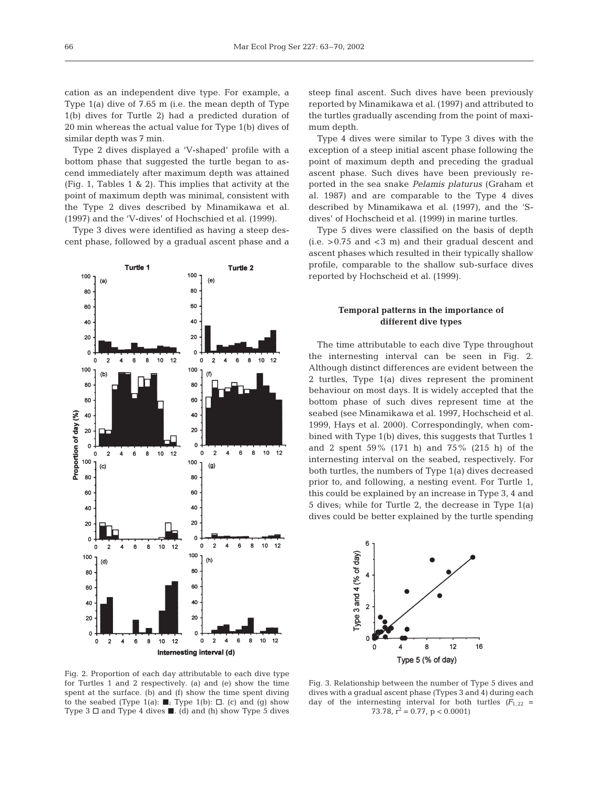cation as an independent dive type. For example, a Type 1(a) dive of 7.65 m (i.e. the mean depth of Type 1(b) dives for Turtle 2) had a predicted duration of 20 min whereas the actual value for Type 1(b) dives of similar depth was 7 min.

Type 2 dives displayed a 'V-shaped' profile with a bottom phase that suggested the turtle began to ascend immediately after maximum depth was attained (Fig. 1, Tables 1 & 2). This implies that activity at the point of maximum depth was minimal, consistent with the Type 2 dives described by Minamikawa et al. (1997) and the 'V-dives' of Hochschied et al. (1999).

Type 3 dives were identified as having a steep descent phase, followed by a gradual ascent phase and a



steep final ascent. Such dives have been previously reported by Minamikawa et al. (1997) and attributed to the turtles gradually ascending from the point of maximum depth.

Type 4 dives were similar to Type 3 dives with the exception of a steep initial ascent phase following the point of maximum depth and preceding the gradual ascent phase. Such dives have been previously reported in the sea snake *Pelamis platurus* (Graham et al. 1987) and are comparable to the Type 4 dives described by Minamikawa et al. (1997), and the 'Sdives' of Hochscheid et al. (1999) in marine turtles.

Type 5 dives were classified on the basis of depth  $(i.e. > 0.75$  and  $< 3$  m) and their gradual descent and ascent phases which resulted in their typically shallow profile, comparable to the shallow sub-surface dives reported by Hochscheid et al. (1999).

# **Temporal patterns in the importance of different dive types**

The time attributable to each dive Type throughout the internesting interval can be seen in Fig. 2. Although distinct differences are evident between the 2 turtles, Type 1(a) dives represent the prominent behaviour on most days. It is widely accepted that the bottom phase of such dives represent time at the seabed (see Minamikawa et al. 1997, Hochscheid et al. 1999, Hays et al. 2000). Correspondingly, when combined with Type 1(b) dives, this suggests that Turtles 1 and 2 spent 59% (171 h) and 75% (215 h) of the internesting interval on the seabed, respectively. For both turtles, the numbers of Type 1(a) dives decreased prior to, and following, a nesting event. For Turtle 1, this could be explained by an increase in Type 3, 4 and 5 dives; while for Turtle 2, the decrease in Type 1(a) dives could be better explained by the turtle spending



Fig. 2. Proportion of each day attributable to each dive type for Turtles 1 and 2 respectively. (a) and (e) show the time spent at the surface. (b) and (f) show the time spent diving to the seabed (Type 1(a):  $\blacksquare$ ; Type 1(b):  $\Box$ . (c) and (g) show Type 3  $\Box$  and Type 4 dives  $\blacksquare$ . (d) and (h) show Type 5 dives

Fig. 3. Relationship between the number of Type 5 dives and dives with a gradual ascent phase (Types 3 and 4) during each day of the internesting interval for both turtles  $(F_{1,22} =$ 73.78,  $\bar{r}^2 = 0.77$ ,  $p < 0.0001$ )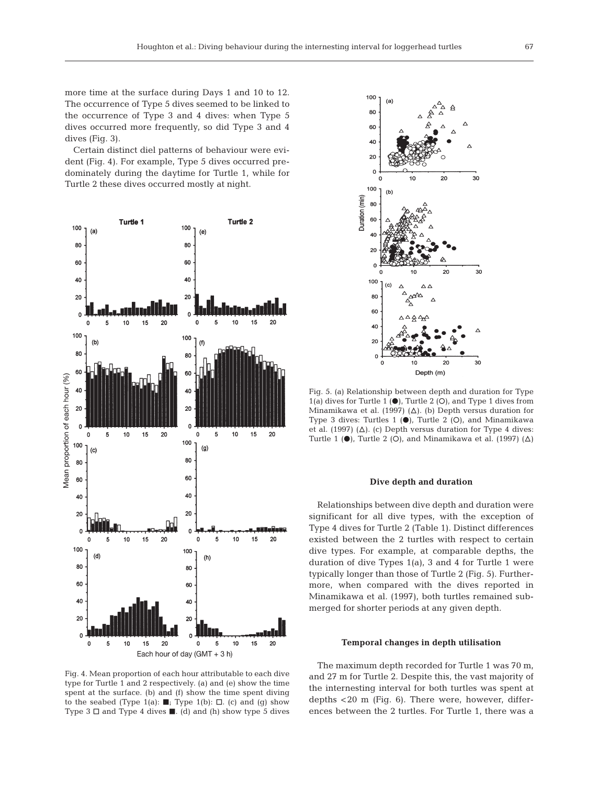more time at the surface during Days 1 and 10 to 12. The occurrence of Type 5 dives seemed to be linked to the occurrence of Type 3 and 4 dives: when Type 5 dives occurred more frequently, so did Type 3 and 4 dives (Fig. 3).

Certain distinct diel patterns of behaviour were evident (Fig. 4). For example, Type 5 dives occurred predominately during the daytime for Turtle 1, while for Turtle 2 these dives occurred mostly at night.



Fig. 4. Mean proportion of each hour attributable to each dive type for Turtle 1 and 2 respectively. (a) and (e) show the time spent at the surface. (b) and (f) show the time spent diving to the seabed (Type 1(a):  $\blacksquare$ ; Type 1(b):  $\Box$ . (c) and (g) show Type 3  $\Box$  and Type 4 dives  $\blacksquare$ . (d) and (h) show type 5 dives



Fig. 5. (a) Relationship between depth and duration for Type 1(a) dives for Turtle 1  $\Theta$ , Turtle 2  $\Theta$ , and Type 1 dives from Minamikawa et al. (1997) ( $\Delta$ ). (b) Depth versus duration for Type 3 dives: Turtles 1  $\left(\bullet\right)$ , Turtle 2  $\left(\circ\right)$ , and Minamikawa et al. (1997) ( $\Delta$ ). (c) Depth versus duration for Type 4 dives: Turtle 1 ( $\bullet$ ), Turtle 2 (O), and Minamikawa et al. (1997) ( $\Delta$ )

## **Dive depth and duration**

Relationships between dive depth and duration were significant for all dive types, with the exception of Type 4 dives for Turtle 2 (Table 1). Distinct differences existed between the 2 turtles with respect to certain dive types. For example, at comparable depths, the duration of dive Types 1(a), 3 and 4 for Turtle 1 were typically longer than those of Turtle 2 (Fig. 5). Furthermore, when compared with the dives reported in Minamikawa et al. (1997), both turtles remained submerged for shorter periods at any given depth.

#### **Temporal changes in depth utilisation**

The maximum depth recorded for Turtle 1 was 70 m, and 27 m for Turtle 2. Despite this, the vast majority of the internesting interval for both turtles was spent at depths <20 m (Fig. 6). There were, however, differences between the 2 turtles. For Turtle 1, there was a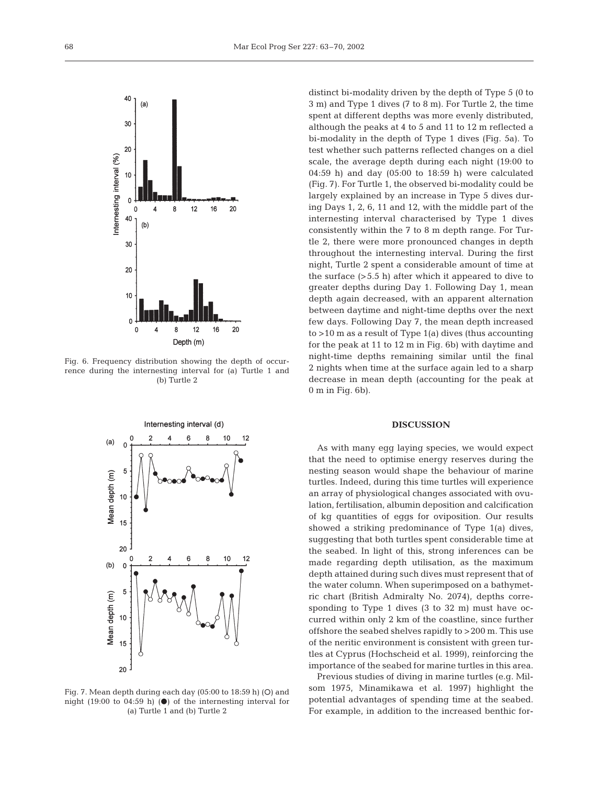

Fig. 6. Frequency distribution showing the depth of occurrence during the internesting interval for (a) Turtle 1 and (b) Turtle 2



Fig. 7. Mean depth during each day  $(05:00$  to  $18:59$  h)  $(O)$  and night (19:00 to 04:59 h) ( $\bullet$ ) of the internesting interval for (a) Turtle 1 and (b) Turtle 2

distinct bi-modality driven by the depth of Type 5 (0 to 3 m) and Type 1 dives (7 to 8 m). For Turtle 2, the time spent at different depths was more evenly distributed, although the peaks at 4 to 5 and 11 to 12 m reflected a bi-modality in the depth of Type 1 dives (Fig. 5a). To test whether such patterns reflected changes on a diel scale, the average depth during each night (19:00 to 04:59 h) and day (05:00 to 18:59 h) were calculated (Fig. 7). For Turtle 1, the observed bi-modality could be largely explained by an increase in Type 5 dives during Days 1, 2, 6, 11 and 12, with the middle part of the internesting interval characterised by Type 1 dives consistently within the 7 to 8 m depth range. For Turtle 2, there were more pronounced changes in depth throughout the internesting interval. During the first night, Turtle 2 spent a considerable amount of time at the surface (>5.5 h) after which it appeared to dive to greater depths during Day 1. Following Day 1, mean depth again decreased, with an apparent alternation between daytime and night-time depths over the next few days. Following Day 7, the mean depth increased to >10 m as a result of Type 1(a) dives (thus accounting for the peak at 11 to 12 m in Fig. 6b) with daytime and night-time depths remaining similar until the final 2 nights when time at the surface again led to a sharp decrease in mean depth (accounting for the peak at 0 m in Fig. 6b).

## **DISCUSSION**

As with many egg laying species, we would expect that the need to optimise energy reserves during the nesting season would shape the behaviour of marine turtles. Indeed, during this time turtles will experience an array of physiological changes associated with ovulation, fertilisation, albumin deposition and calcification of kg quantities of eggs for oviposition. Our results showed a striking predominance of Type 1(a) dives, suggesting that both turtles spent considerable time at the seabed. In light of this, strong inferences can be made regarding depth utilisation, as the maximum depth attained during such dives must represent that of the water column. When superimposed on a bathymetric chart (British Admiralty No. 2074), depths corresponding to Type 1 dives (3 to 32 m) must have occurred within only 2 km of the coastline, since further offshore the seabed shelves rapidly to >200 m. This use of the neritic environment is consistent with green turtles at Cyprus (Hochscheid et al. 1999), reinforcing the importance of the seabed for marine turtles in this area.

Previous studies of diving in marine turtles (e.g. Milsom 1975, Minamikawa et al. 1997) highlight the potential advantages of spending time at the seabed. For example, in addition to the increased benthic for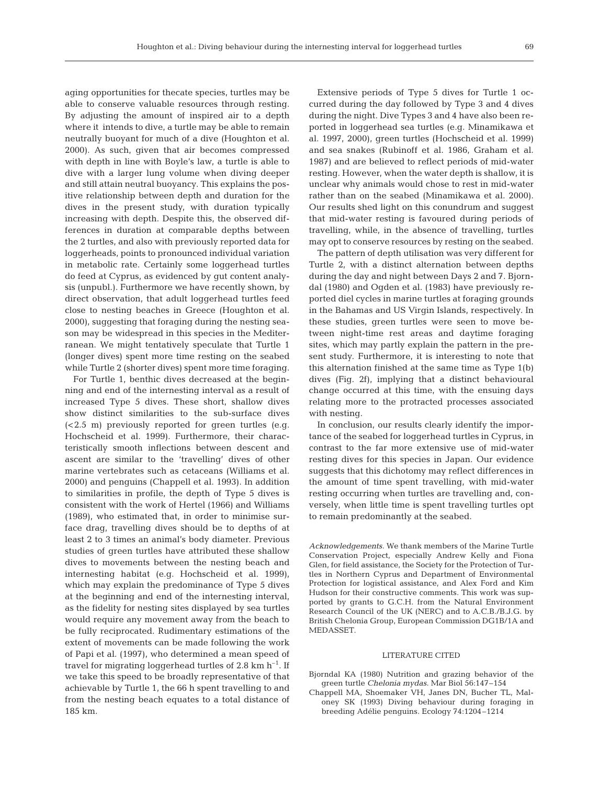aging opportunities for thecate species, turtles may be able to conserve valuable resources through resting. By adjusting the amount of inspired air to a depth where it intends to dive, a turtle may be able to remain neutrally buoyant for much of a dive (Houghton et al. 2000). As such, given that air becomes compressed with depth in line with Boyle's law, a turtle is able to dive with a larger lung volume when diving deeper and still attain neutral buoyancy. This explains the positive relationship between depth and duration for the dives in the present study, with duration typically increasing with depth. Despite this, the observed differences in duration at comparable depths between the 2 turtles, and also with previously reported data for loggerheads, points to pronounced individual variation in metabolic rate. Certainly some loggerhead turtles do feed at Cyprus, as evidenced by gut content analysis (unpubl.). Furthermore we have recently shown, by direct observation, that adult loggerhead turtles feed close to nesting beaches in Greece (Houghton et al. 2000), suggesting that foraging during the nesting season may be widespread in this species in the Mediterranean. We might tentatively speculate that Turtle 1 (longer dives) spent more time resting on the seabed while Turtle 2 (shorter dives) spent more time foraging.

For Turtle 1, benthic dives decreased at the beginning and end of the internesting interval as a result of increased Type 5 dives. These short, shallow dives show distinct similarities to the sub-surface dives (<2.5 m) previously reported for green turtles (e.g. Hochscheid et al. 1999). Furthermore, their characteristically smooth inflections between descent and ascent are similar to the 'travelling' dives of other marine vertebrates such as cetaceans (Williams et al. 2000) and penguins (Chappell et al. 1993). In addition to similarities in profile, the depth of Type 5 dives is consistent with the work of Hertel (1966) and Williams (1989), who estimated that, in order to minimise surface drag, travelling dives should be to depths of at least 2 to 3 times an animal's body diameter. Previous studies of green turtles have attributed these shallow dives to movements between the nesting beach and internesting habitat (e.g. Hochscheid et al. 1999), which may explain the predominance of Type 5 dives at the beginning and end of the internesting interval, as the fidelity for nesting sites displayed by sea turtles would require any movement away from the beach to be fully reciprocated. Rudimentary estimations of the extent of movements can be made following the work of Papi et al. (1997), who determined a mean speed of travel for migrating loggerhead turtles of 2.8 km  $h^{-1}$ . If we take this speed to be broadly representative of that achievable by Turtle 1, the 66 h spent travelling to and from the nesting beach equates to a total distance of 185 km.

Extensive periods of Type 5 dives for Turtle 1 occurred during the day followed by Type 3 and 4 dives during the night. Dive Types 3 and 4 have also been reported in loggerhead sea turtles (e.g. Minamikawa et al. 1997, 2000), green turtles (Hochscheid et al. 1999) and sea snakes (Rubinoff et al. 1986, Graham et al. 1987) and are believed to reflect periods of mid-water resting. However, when the water depth is shallow, it is unclear why animals would chose to rest in mid-water rather than on the seabed (Minamikawa et al. 2000). Our results shed light on this conundrum and suggest that mid-water resting is favoured during periods of travelling, while, in the absence of travelling, turtles may opt to conserve resources by resting on the seabed.

The pattern of depth utilisation was very different for Turtle 2, with a distinct alternation between depths during the day and night between Days 2 and 7. Bjorndal (1980) and Ogden et al. (1983) have previously reported diel cycles in marine turtles at foraging grounds in the Bahamas and US Virgin Islands, respectively. In these studies, green turtles were seen to move between night-time rest areas and daytime foraging sites, which may partly explain the pattern in the present study. Furthermore, it is interesting to note that this alternation finished at the same time as Type 1(b) dives (Fig. 2f), implying that a distinct behavioural change occurred at this time, with the ensuing days relating more to the protracted processes associated with nesting.

In conclusion, our results clearly identify the importance of the seabed for loggerhead turtles in Cyprus, in contrast to the far more extensive use of mid-water resting dives for this species in Japan. Our evidence suggests that this dichotomy may reflect differences in the amount of time spent travelling, with mid-water resting occurring when turtles are travelling and, conversely, when little time is spent travelling turtles opt to remain predominantly at the seabed.

*Acknowledgements.* We thank members of the Marine Turtle Conservation Project, especially Andrew Kelly and Fiona Glen, for field assistance, the Society for the Protection of Turtles in Northern Cyprus and Department of Environmental Protection for logistical assistance, and Alex Ford and Kim Hudson for their constructive comments. This work was supported by grants to G.C.H. from the Natural Environment Research Council of the UK (NERC) and to A.C.B./B.J.G. by British Chelonia Group, European Commission DG1B/1A and MEDASSET.

# LITERATURE CITED

- Bjorndal KA (1980) Nutrition and grazing behavior of the green turtle *Chelonia mydas*. Mar Biol 56:147–154
- Chappell MA, Shoemaker VH, Janes DN, Bucher TL, Maloney SK (1993) Diving behaviour during foraging in breeding Adélie penguins. Ecology 74:1204–1214